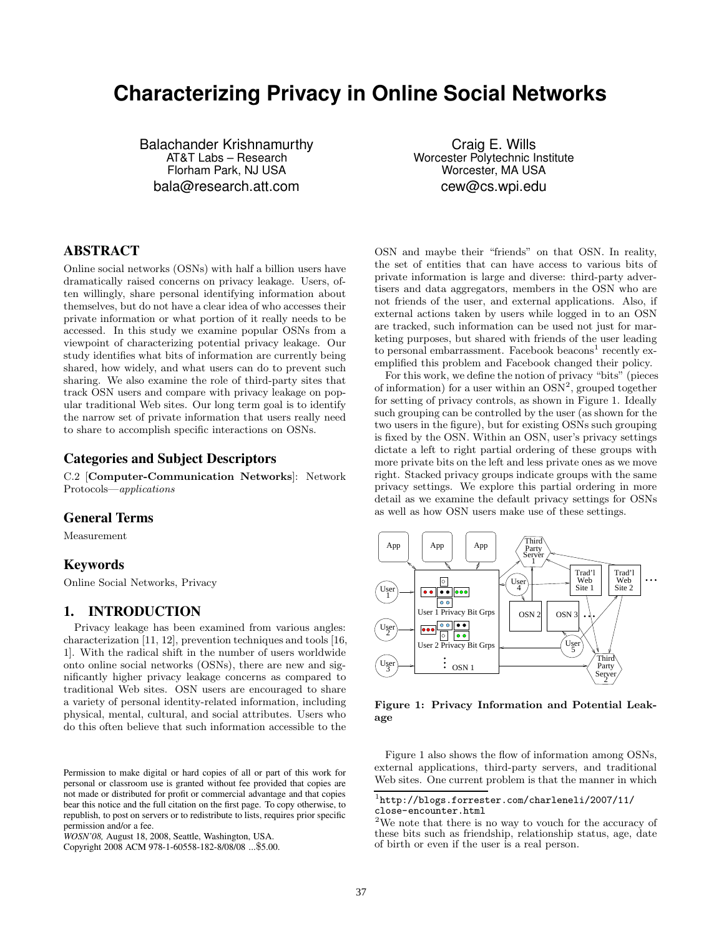# **Characterizing Privacy in Online Social Networks**

Balachander Krishnamurthy AT&T Labs – Research Florham Park, NJ USA bala@research.att.com

Craig E. Wills Worcester Polytechnic Institute Worcester, MA USA cew@cs.wpi.edu

# ABSTRACT

Online social networks (OSNs) with half a billion users have dramatically raised concerns on privacy leakage. Users, often willingly, share personal identifying information about themselves, but do not have a clear idea of who accesses their private information or what portion of it really needs to be accessed. In this study we examine popular OSNs from a viewpoint of characterizing potential privacy leakage. Our study identifies what bits of information are currently being shared, how widely, and what users can do to prevent such sharing. We also examine the role of third-party sites that track OSN users and compare with privacy leakage on popular traditional Web sites. Our long term goal is to identify the narrow set of private information that users really need to share to accomplish specific interactions on OSNs.

## Categories and Subject Descriptors

C.2 [Computer-Communication Networks]: Network Protocols—applications

# General Terms

Measurement

#### Keywords

Online Social Networks, Privacy

# 1. INTRODUCTION

Privacy leakage has been examined from various angles: characterization [11, 12], prevention techniques and tools [16, 1]. With the radical shift in the number of users worldwide onto online social networks (OSNs), there are new and significantly higher privacy leakage concerns as compared to traditional Web sites. OSN users are encouraged to share a variety of personal identity-related information, including physical, mental, cultural, and social attributes. Users who do this often believe that such information accessible to the

OSN and maybe their "friends" on that OSN. In reality, the set of entities that can have access to various bits of private information is large and diverse: third-party advertisers and data aggregators, members in the OSN who are not friends of the user, and external applications. Also, if external actions taken by users while logged in to an OSN are tracked, such information can be used not just for marketing purposes, but shared with friends of the user leading to personal embarrassment. Facebook beacons<sup>1</sup> recently exemplified this problem and Facebook changed their policy.

For this work, we define the notion of privacy "bits" (pieces of information) for a user within an  $OSN^2$ , grouped together for setting of privacy controls, as shown in Figure 1. Ideally such grouping can be controlled by the user (as shown for the two users in the figure), but for existing OSNs such grouping is fixed by the OSN. Within an OSN, user's privacy settings dictate a left to right partial ordering of these groups with more private bits on the left and less private ones as we move right. Stacked privacy groups indicate groups with the same privacy settings. We explore this partial ordering in more detail as we examine the default privacy settings for OSNs as well as how OSN users make use of these settings.



Figure 1: Privacy Information and Potential Leakage

Figure 1 also shows the flow of information among OSNs, external applications, third-party servers, and traditional Web sites. One current problem is that the manner in which

Permission to make digital or hard copies of all or part of this work for personal or classroom use is granted without fee provided that copies are not made or distributed for profit or commercial advantage and that copies bear this notice and the full citation on the first page. To copy otherwise, to republish, to post on servers or to redistribute to lists, requires prior specific permission and/or a fee.

*WOSN'08,* August 18, 2008, Seattle, Washington, USA.

Copyright 2008 ACM 978-1-60558-182-8/08/08 ...\$5.00.

 $1$ http://blogs.forrester.com/charleneli/2007/11/ close-encounter.html

<sup>2</sup>We note that there is no way to vouch for the accuracy of these bits such as friendship, relationship status, age, date of birth or even if the user is a real person.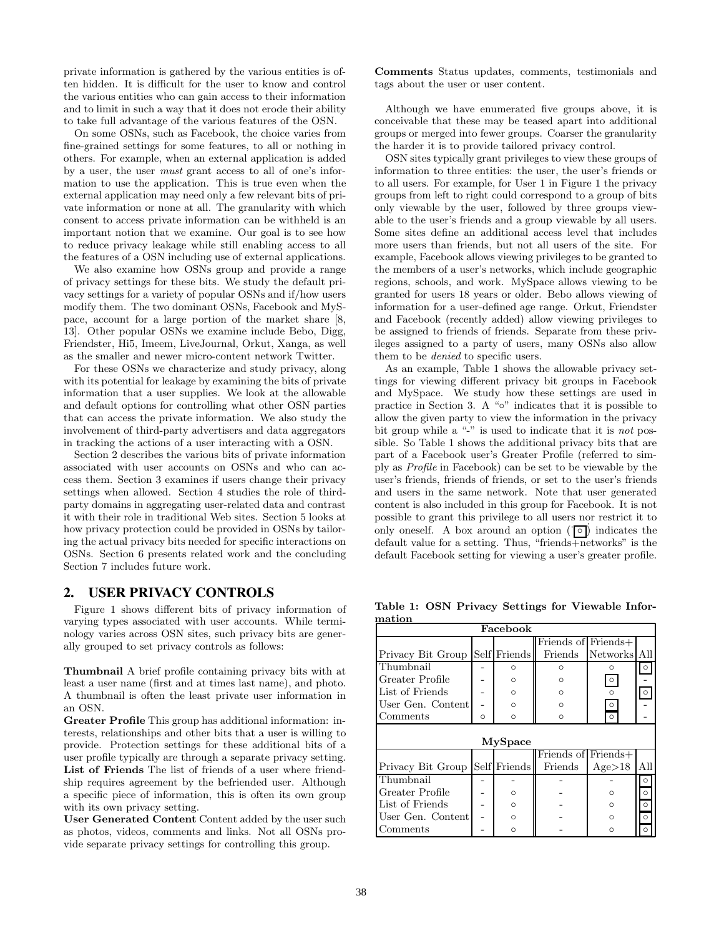private information is gathered by the various entities is often hidden. It is difficult for the user to know and control the various entities who can gain access to their information and to limit in such a way that it does not erode their ability to take full advantage of the various features of the OSN.

On some OSNs, such as Facebook, the choice varies from fine-grained settings for some features, to all or nothing in others. For example, when an external application is added by a user, the user must grant access to all of one's information to use the application. This is true even when the external application may need only a few relevant bits of private information or none at all. The granularity with which consent to access private information can be withheld is an important notion that we examine. Our goal is to see how to reduce privacy leakage while still enabling access to all the features of a OSN including use of external applications.

We also examine how OSNs group and provide a range of privacy settings for these bits. We study the default privacy settings for a variety of popular OSNs and if/how users modify them. The two dominant OSNs, Facebook and MySpace, account for a large portion of the market share [8, 13]. Other popular OSNs we examine include Bebo, Digg, Friendster, Hi5, Imeem, LiveJournal, Orkut, Xanga, as well as the smaller and newer micro-content network Twitter.

For these OSNs we characterize and study privacy, along with its potential for leakage by examining the bits of private information that a user supplies. We look at the allowable and default options for controlling what other OSN parties that can access the private information. We also study the involvement of third-party advertisers and data aggregators in tracking the actions of a user interacting with a OSN.

Section 2 describes the various bits of private information associated with user accounts on OSNs and who can access them. Section 3 examines if users change their privacy settings when allowed. Section 4 studies the role of thirdparty domains in aggregating user-related data and contrast it with their role in traditional Web sites. Section 5 looks at how privacy protection could be provided in OSNs by tailoring the actual privacy bits needed for specific interactions on OSNs. Section 6 presents related work and the concluding Section 7 includes future work.

#### 2. USER PRIVACY CONTROLS

Figure 1 shows different bits of privacy information of varying types associated with user accounts. While terminology varies across OSN sites, such privacy bits are generally grouped to set privacy controls as follows:

Thumbnail A brief profile containing privacy bits with at least a user name (first and at times last name), and photo. A thumbnail is often the least private user information in an OSN.

Greater Profile This group has additional information: interests, relationships and other bits that a user is willing to provide. Protection settings for these additional bits of a user profile typically are through a separate privacy setting. List of Friends The list of friends of a user where friendship requires agreement by the befriended user. Although a specific piece of information, this is often its own group with its own privacy setting.

User Generated Content Content added by the user such as photos, videos, comments and links. Not all OSNs provide separate privacy settings for controlling this group.

Comments Status updates, comments, testimonials and tags about the user or user content.

Although we have enumerated five groups above, it is conceivable that these may be teased apart into additional groups or merged into fewer groups. Coarser the granularity the harder it is to provide tailored privacy control.

OSN sites typically grant privileges to view these groups of information to three entities: the user, the user's friends or to all users. For example, for User 1 in Figure 1 the privacy groups from left to right could correspond to a group of bits only viewable by the user, followed by three groups viewable to the user's friends and a group viewable by all users. Some sites define an additional access level that includes more users than friends, but not all users of the site. For example, Facebook allows viewing privileges to be granted to the members of a user's networks, which include geographic regions, schools, and work. MySpace allows viewing to be granted for users 18 years or older. Bebo allows viewing of information for a user-defined age range. Orkut, Friendster and Facebook (recently added) allow viewing privileges to be assigned to friends of friends. Separate from these privileges assigned to a party of users, many OSNs also allow them to be denied to specific users.

As an example, Table 1 shows the allowable privacy settings for viewing different privacy bit groups in Facebook and MySpace. We study how these settings are used in practice in Section 3. A "◦" indicates that it is possible to allow the given party to view the information in the privacy bit group while a "-" is used to indicate that it is *not* possible. So Table 1 shows the additional privacy bits that are part of a Facebook user's Greater Profile (referred to simply as Profile in Facebook) can be set to be viewable by the user's friends, friends of friends, or set to the user's friends and users in the same network. Note that user generated content is also included in this group for Facebook. It is not possible to grant this privilege to all users nor restrict it to only oneself. A box around an option  $(\overrightarrow{\circ})$  indicates the default value for a setting. Thus, "friends $\overline{h}$ -networks" is the default Facebook setting for viewing a user's greater profile.

Table 1: OSN Privacy Settings for Viewable Information

| Facebook                       |   |              |                                         |              |         |  |  |  |  |  |
|--------------------------------|---|--------------|-----------------------------------------|--------------|---------|--|--|--|--|--|
|                                |   |              | Friends of $\overline{\text{Friends+}}$ |              |         |  |  |  |  |  |
| Privacy Bit Group Self Friends |   |              | Friends                                 | Networks All |         |  |  |  |  |  |
| Thumbnail                      |   | Ω            | ∩                                       |              |         |  |  |  |  |  |
| Greater Profile                |   | ∩            | ∩                                       | $\circ$      |         |  |  |  |  |  |
| List of Friends                |   | $\circ$      | ∩                                       | $\Omega$     |         |  |  |  |  |  |
| User Gen. Content              |   | $\circ$      | $\Omega$                                | $\circ$      |         |  |  |  |  |  |
| Comments                       | O | O            | O                                       | $\circ$      |         |  |  |  |  |  |
|                                |   |              |                                         |              |         |  |  |  |  |  |
|                                |   | MySpace      |                                         |              |         |  |  |  |  |  |
|                                |   |              | Friends of Friends+                     |              |         |  |  |  |  |  |
| Privacy Bit Group              |   | Self Friends | Friends                                 | Age>18       | All     |  |  |  |  |  |
| Thumbnail                      |   |              |                                         |              |         |  |  |  |  |  |
| Greater Profile                |   | $\circ$      |                                         |              | $\circ$ |  |  |  |  |  |
| List of Friends                |   | $\Omega$     |                                         |              | $\circ$ |  |  |  |  |  |
| User Gen. Content              |   | $\Omega$     |                                         | ∩            | റ       |  |  |  |  |  |
| Comments                       |   | O            |                                         |              |         |  |  |  |  |  |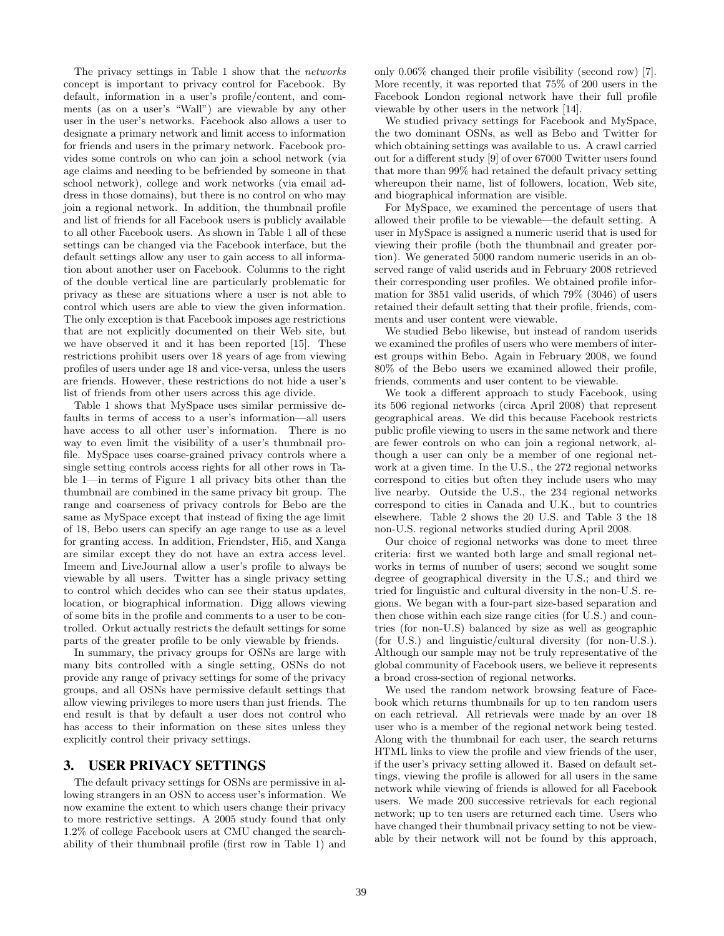The privacy settings in Table 1 show that the networks concept is important to privacy control for Facebook. By default, information in a user's profile/content, and comments (as on a user's "Wall") are viewable by any other user in the user's networks. Facebook also allows a user to designate a primary network and limit access to information for friends and users in the primary network. Facebook provides some controls on who can join a school network (via age claims and needing to be befriended by someone in that school network), college and work networks (via email address in those domains), but there is no control on who may join a regional network. In addition, the thumbnail profile and list of friends for all Facebook users is publicly available to all other Facebook users. As shown in Table 1 all of these settings can be changed via the Facebook interface, but the default settings allow any user to gain access to all information about another user on Facebook. Columns to the right of the double vertical line are particularly problematic for privacy as these are situations where a user is not able to control which users are able to view the given information. The only exception is that Facebook imposes age restrictions that are not explicitly documented on their Web site, but we have observed it and it has been reported [15]. These restrictions prohibit users over 18 years of age from viewing profiles of users under age 18 and vice-versa, unless the users are friends. However, these restrictions do not hide a user's list of friends from other users across this age divide.

Table 1 shows that MySpace uses similar permissive defaults in terms of access to a user's information—all users have access to all other user's information. There is no way to even limit the visibility of a user's thumbnail profile. MySpace uses coarse-grained privacy controls where a single setting controls access rights for all other rows in Table 1—in terms of Figure 1 all privacy bits other than the thumbnail are combined in the same privacy bit group. The range and coarseness of privacy controls for Bebo are the same as MySpace except that instead of fixing the age limit of 18, Bebo users can specify an age range to use as a level for granting access. In addition, Friendster, Hi5, and Xanga are similar except they do not have an extra access level. Imeem and LiveJournal allow a user's profile to always be viewable by all users. Twitter has a single privacy setting to control which decides who can see their status updates, location, or biographical information. Digg allows viewing of some bits in the profile and comments to a user to be controlled. Orkut actually restricts the default settings for some parts of the greater profile to be only viewable by friends.

In summary, the privacy groups for OSNs are large with many bits controlled with a single setting, OSNs do not provide any range of privacy settings for some of the privacy groups, and all OSNs have permissive default settings that allow viewing privileges to more users than just friends. The end result is that by default a user does not control who has access to their information on these sites unless they explicitly control their privacy settings.

# 3. USER PRIVACY SETTINGS

The default privacy settings for OSNs are permissive in allowing strangers in an OSN to access user's information. We now examine the extent to which users change their privacy to more restrictive settings. A 2005 study found that only 1.2% of college Facebook users at CMU changed the searchability of their thumbnail profile (first row in Table 1) and only 0.06% changed their profile visibility (second row) [7]. More recently, it was reported that 75% of 200 users in the Facebook London regional network have their full profile viewable by other users in the network [14].

We studied privacy settings for Facebook and MySpace, the two dominant OSNs, as well as Bebo and Twitter for which obtaining settings was available to us. A crawl carried out for a different study [9] of over 67000 Twitter users found that more than 99% had retained the default privacy setting whereupon their name, list of followers, location, Web site, and biographical information are visible.

For MySpace, we examined the percentage of users that allowed their profile to be viewable—the default setting. A user in MySpace is assigned a numeric userid that is used for viewing their profile (both the thumbnail and greater portion). We generated 5000 random numeric userids in an observed range of valid userids and in February 2008 retrieved their corresponding user profiles. We obtained profile information for 3851 valid userids, of which 79% (3046) of users retained their default setting that their profile, friends, comments and user content were viewable.

We studied Bebo likewise, but instead of random userids we examined the profiles of users who were members of interest groups within Bebo. Again in February 2008, we found 80% of the Bebo users we examined allowed their profile, friends, comments and user content to be viewable.

We took a different approach to study Facebook, using its 506 regional networks (circa April 2008) that represent geographical areas. We did this because Facebook restricts public profile viewing to users in the same network and there are fewer controls on who can join a regional network, although a user can only be a member of one regional network at a given time. In the U.S., the 272 regional networks correspond to cities but often they include users who may live nearby. Outside the U.S., the 234 regional networks correspond to cities in Canada and U.K., but to countries elsewhere. Table 2 shows the 20 U.S. and Table 3 the 18 non-U.S. regional networks studied during April 2008.

Our choice of regional networks was done to meet three criteria: first we wanted both large and small regional networks in terms of number of users; second we sought some degree of geographical diversity in the U.S.; and third we tried for linguistic and cultural diversity in the non-U.S. regions. We began with a four-part size-based separation and then chose within each size range cities (for U.S.) and countries (for non-U.S) balanced by size as well as geographic (for U.S.) and linguistic/cultural diversity (for non-U.S.). Although our sample may not be truly representative of the global community of Facebook users, we believe it represents a broad cross-section of regional networks.

We used the random network browsing feature of Facebook which returns thumbnails for up to ten random users on each retrieval. All retrievals were made by an over 18 user who is a member of the regional network being tested. Along with the thumbnail for each user, the search returns HTML links to view the profile and view friends of the user, if the user's privacy setting allowed it. Based on default settings, viewing the profile is allowed for all users in the same network while viewing of friends is allowed for all Facebook users. We made 200 successive retrievals for each regional network; up to ten users are returned each time. Users who have changed their thumbnail privacy setting to not be viewable by their network will not be found by this approach,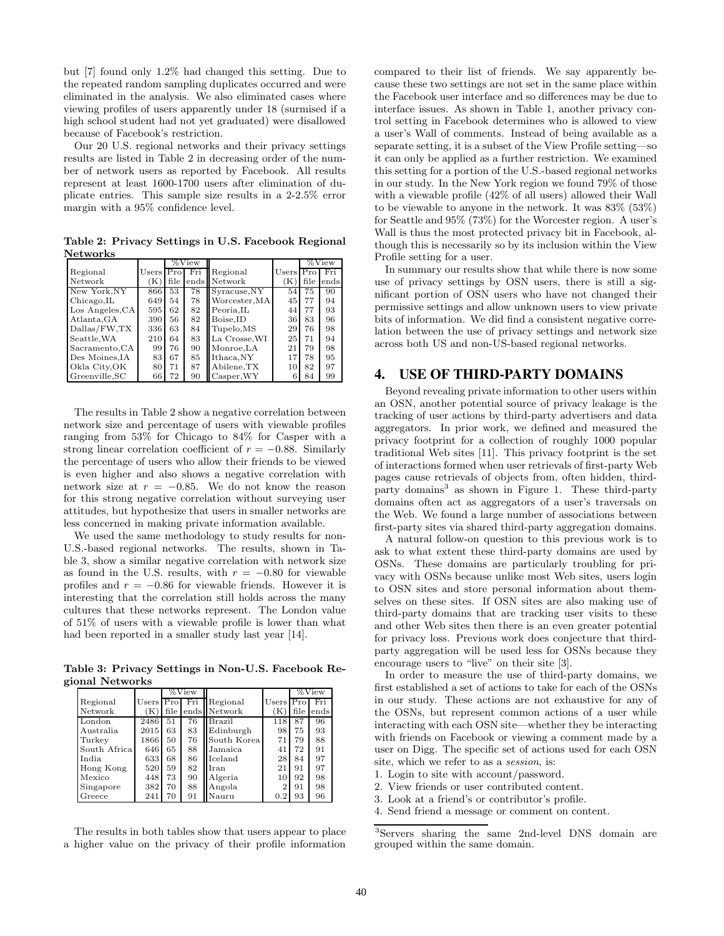but [7] found only 1.2% had changed this setting. Due to the repeated random sampling duplicates occurred and were eliminated in the analysis. We also eliminated cases where viewing profiles of users apparently under 18 (surmised if a high school student had not yet graduated) were disallowed because of Facebook's restriction.

Our 20 U.S. regional networks and their privacy settings results are listed in Table 2 in decreasing order of the number of network users as reported by Facebook. All results represent at least 1600-1700 users after elimination of duplicate entries. This sample size results in a 2-2.5% error margin with a 95% confidence level.

Table 2: Privacy Settings in U.S. Facebook Regional **Networks** 

|                 |             | %View |     |                   |             | %View |      |
|-----------------|-------------|-------|-----|-------------------|-------------|-------|------|
| Regional        | $Users$ Pro |       | Fri | Regional          | Users $Pro$ |       | Fri  |
| Network         | ΈC          | file  |     | ends Network      | ſΚ          | file  | ends |
| New York.NY     | 866         | 53    | 78  | Syracuse, NY      | 54          | 75    | 90   |
| Chicago, IL     | 649         | 54    | 78  | Worcester, MA     | 45          | 77    | 94   |
| Los Angeles, CA | 595         | 62    | 82  | Peoria.IL         | 44          | 77    | 93   |
| Atlanta, GA     | 390         | 56    | 82  | Boise.ID          | 36          | 83    | 96   |
| Dallas/FW, TX   | 336         | 63    | 84  | Tupelo, MS        | 29          | 76    | 98   |
| Seattle, WA     | 210         | 64    | 83  | La Crosse, WI     | 25          | 71    | 94   |
| Sacramento, CA  | 99          | 76    | 90  | Monroe, LA        | 21          | 79    | 98   |
| Des Moines, IA  | 83          | 67    | 85  | Ithaca,NY         | 17          | 78    | 95   |
| Okla City, OK   | 80          | 71    | 87  | Abilene, TX       | 10          | 82    | 97   |
| Greenville, SC  | 66          | 72    | 90  | $\alpha$ sper, WY | 6           | 84    | 99   |

The results in Table 2 show a negative correlation between network size and percentage of users with viewable profiles ranging from 53% for Chicago to 84% for Casper with a strong linear correlation coefficient of  $r = -0.88$ . Similarly the percentage of users who allow their friends to be viewed is even higher and also shows a negative correlation with network size at  $r = -0.85$ . We do not know the reason for this strong negative correlation without surveying user attitudes, but hypothesize that users in smaller networks are less concerned in making private information available.

We used the same methodology to study results for non-U.S.-based regional networks. The results, shown in Table 3, show a similar negative correlation with network size as found in the U.S. results, with  $r = -0.80$  for viewable profiles and  $r = -0.86$  for viewable friends. However it is interesting that the correlation still holds across the many cultures that these networks represent. The London value of 51% of users with a viewable profile is lower than what had been reported in a smaller study last year [14].

Table 3: Privacy Settings in Non-U.S. Facebook Regional Networks

|              |             | %View |     |              |                |      | $\%$ View |
|--------------|-------------|-------|-----|--------------|----------------|------|-----------|
| Regional     | Users   Pro |       | Fri | Regional     | Users $Pro$    |      | Fri       |
| Network      | (K)         | file  |     | ends Network | 'K             | file | ends      |
| London       | 2486        | 51    | 76  | Brazil       | 118            | 87   | 96        |
| Australia    | 2015        | 63    | 83  | Edinburgh    | 98             | 75   | 93        |
| Turkey       | 1866        | 50    | 76  | South Korea  | 71             | 79   | 88        |
| South Africa | 646         | 65    | 88  | Jamaica      | 41             | 72   | 91        |
| India.       | 633         | 68    | 86  | Iceland      | 28             | 84   | 97        |
| Hong Kong    | 520         | 59    | 82  | Iran         | 21             | 91   | 97        |
| Mexico       | 448         | 73    | 90  | Algeria      | 10             | 92   | 98        |
| Singapore    | 382         | 70    | 88  | Angola       | $\overline{2}$ | 91   | 98        |
| Greece       | 241         | 70    | 91  | Nauru        | 0.2            | 93   | 96        |

The results in both tables show that users appear to place a higher value on the privacy of their profile information

compared to their list of friends. We say apparently because these two settings are not set in the same place within the Facebook user interface and so differences may be due to interface issues. As shown in Table 1, another privacy control setting in Facebook determines who is allowed to view a user's Wall of comments. Instead of being available as a separate setting, it is a subset of the View Profile setting—so it can only be applied as a further restriction. We examined this setting for a portion of the U.S.-based regional networks in our study. In the New York region we found 79% of those with a viewable profile (42% of all users) allowed their Wall to be viewable to anyone in the network. It was 83% (53%) for Seattle and 95% (73%) for the Worcester region. A user's Wall is thus the most protected privacy bit in Facebook, although this is necessarily so by its inclusion within the View Profile setting for a user.

In summary our results show that while there is now some use of privacy settings by OSN users, there is still a significant portion of OSN users who have not changed their permissive settings and allow unknown users to view private bits of information. We did find a consistent negative correlation between the use of privacy settings and network size across both US and non-US-based regional networks.

# 4. USE OF THIRD-PARTY DOMAINS

Beyond revealing private information to other users within an OSN, another potential source of privacy leakage is the tracking of user actions by third-party advertisers and data aggregators. In prior work, we defined and measured the privacy footprint for a collection of roughly 1000 popular traditional Web sites [11]. This privacy footprint is the set of interactions formed when user retrievals of first-party Web pages cause retrievals of objects from, often hidden, thirdparty domains<sup>3</sup> as shown in Figure 1. These third-party domains often act as aggregators of a user's traversals on the Web. We found a large number of associations between first-party sites via shared third-party aggregation domains.

A natural follow-on question to this previous work is to ask to what extent these third-party domains are used by OSNs. These domains are particularly troubling for privacy with OSNs because unlike most Web sites, users login to OSN sites and store personal information about themselves on these sites. If OSN sites are also making use of third-party domains that are tracking user visits to these and other Web sites then there is an even greater potential for privacy loss. Previous work does conjecture that thirdparty aggregation will be used less for OSNs because they encourage users to "live" on their site [3].

In order to measure the use of third-party domains, we first established a set of actions to take for each of the OSNs in our study. These actions are not exhaustive for any of the OSNs, but represent common actions of a user while interacting with each OSN site—whether they be interacting with friends on Facebook or viewing a comment made by a user on Digg. The specific set of actions used for each OSN site, which we refer to as a session, is:

- 1. Login to site with account/password.
- 2. View friends or user contributed content.
- 3. Look at a friend's or contributor's profile.
- 4. Send friend a message or comment on content.

<sup>3</sup>Servers sharing the same 2nd-level DNS domain are grouped within the same domain.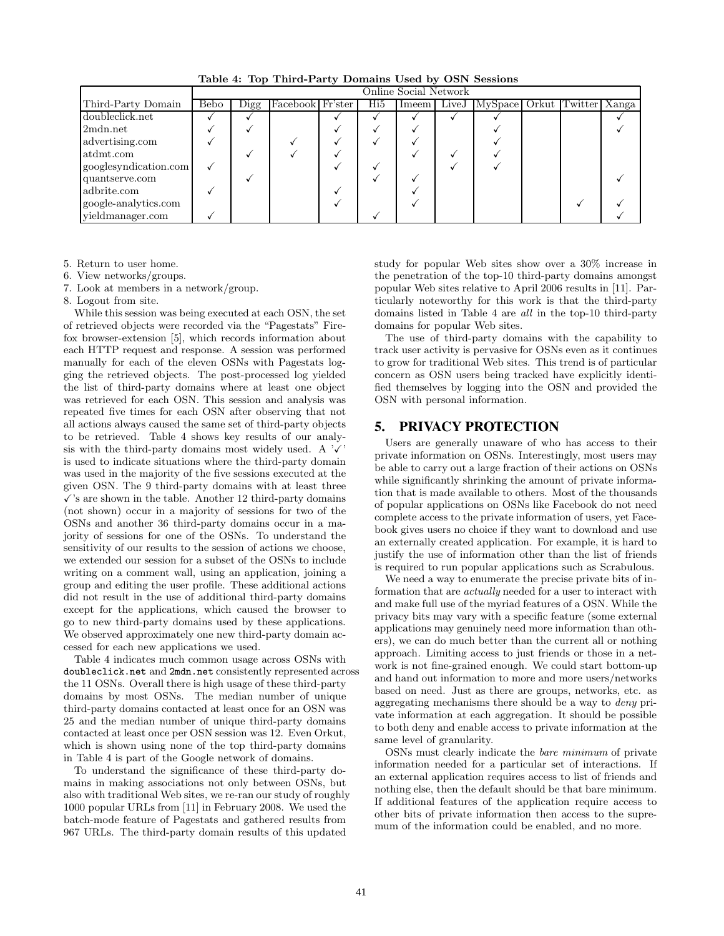|                       | Online Social Network |      |                  |  |     |       |              |                             |  |  |
|-----------------------|-----------------------|------|------------------|--|-----|-------|--------------|-----------------------------|--|--|
| Third-Party Domain    | <b>Bebo</b>           | Digg | Facebook Fr'ster |  | Hi5 | Imeem | $\rm{LiveJ}$ | MySpace Orkut Twitter Xanga |  |  |
| doubleclick.net       |                       |      |                  |  |     |       |              |                             |  |  |
| 2mdn.net              |                       |      |                  |  |     |       |              |                             |  |  |
| advertising.com       |                       |      |                  |  |     |       |              |                             |  |  |
| atdmt.com             |                       |      |                  |  |     |       |              |                             |  |  |
| googlesyndication.com |                       |      |                  |  |     |       |              |                             |  |  |
| quantserve.com        |                       |      |                  |  |     |       |              |                             |  |  |
| adbrite.com           |                       |      |                  |  |     |       |              |                             |  |  |
| google-analytics.com  |                       |      |                  |  |     |       |              |                             |  |  |
| yieldmanager.com      |                       |      |                  |  |     |       |              |                             |  |  |

Table 4: Top Third-Party Domains Used by OSN Sessions

5. Return to user home.

6. View networks/groups.

7. Look at members in a network/group.

8. Logout from site.

While this session was being executed at each OSN, the set of retrieved objects were recorded via the "Pagestats" Firefox browser-extension [5], which records information about each HTTP request and response. A session was performed manually for each of the eleven OSNs with Pagestats logging the retrieved objects. The post-processed log yielded the list of third-party domains where at least one object was retrieved for each OSN. This session and analysis was repeated five times for each OSN after observing that not all actions always caused the same set of third-party objects to be retrieved. Table 4 shows key results of our analysis with the third-party domains most widely used. A  $\sqrt{x}$ is used to indicate situations where the third-party domain was used in the majority of the five sessions executed at the given OSN. The 9 third-party domains with at least three  $\checkmark$ 's are shown in the table. Another 12 third-party domains (not shown) occur in a majority of sessions for two of the OSNs and another 36 third-party domains occur in a majority of sessions for one of the OSNs. To understand the sensitivity of our results to the session of actions we choose, we extended our session for a subset of the OSNs to include writing on a comment wall, using an application, joining a group and editing the user profile. These additional actions did not result in the use of additional third-party domains except for the applications, which caused the browser to go to new third-party domains used by these applications. We observed approximately one new third-party domain accessed for each new applications we used.

Table 4 indicates much common usage across OSNs with doubleclick.net and 2mdn.net consistently represented across the 11 OSNs. Overall there is high usage of these third-party domains by most OSNs. The median number of unique third-party domains contacted at least once for an OSN was 25 and the median number of unique third-party domains contacted at least once per OSN session was 12. Even Orkut, which is shown using none of the top third-party domains in Table 4 is part of the Google network of domains.

To understand the significance of these third-party domains in making associations not only between OSNs, but also with traditional Web sites, we re-ran our study of roughly 1000 popular URLs from [11] in February 2008. We used the batch-mode feature of Pagestats and gathered results from 967 URLs. The third-party domain results of this updated

study for popular Web sites show over a 30% increase in the penetration of the top-10 third-party domains amongst popular Web sites relative to April 2006 results in [11]. Particularly noteworthy for this work is that the third-party domains listed in Table 4 are all in the top-10 third-party domains for popular Web sites.

The use of third-party domains with the capability to track user activity is pervasive for OSNs even as it continues to grow for traditional Web sites. This trend is of particular concern as OSN users being tracked have explicitly identified themselves by logging into the OSN and provided the OSN with personal information.

# 5. PRIVACY PROTECTION

Users are generally unaware of who has access to their private information on OSNs. Interestingly, most users may be able to carry out a large fraction of their actions on OSNs while significantly shrinking the amount of private information that is made available to others. Most of the thousands of popular applications on OSNs like Facebook do not need complete access to the private information of users, yet Facebook gives users no choice if they want to download and use an externally created application. For example, it is hard to justify the use of information other than the list of friends is required to run popular applications such as Scrabulous.

We need a way to enumerate the precise private bits of information that are actually needed for a user to interact with and make full use of the myriad features of a OSN. While the privacy bits may vary with a specific feature (some external applications may genuinely need more information than others), we can do much better than the current all or nothing approach. Limiting access to just friends or those in a network is not fine-grained enough. We could start bottom-up and hand out information to more and more users/networks based on need. Just as there are groups, networks, etc. as aggregating mechanisms there should be a way to deny private information at each aggregation. It should be possible to both deny and enable access to private information at the same level of granularity.

OSNs must clearly indicate the bare minimum of private information needed for a particular set of interactions. If an external application requires access to list of friends and nothing else, then the default should be that bare minimum. If additional features of the application require access to other bits of private information then access to the supremum of the information could be enabled, and no more.